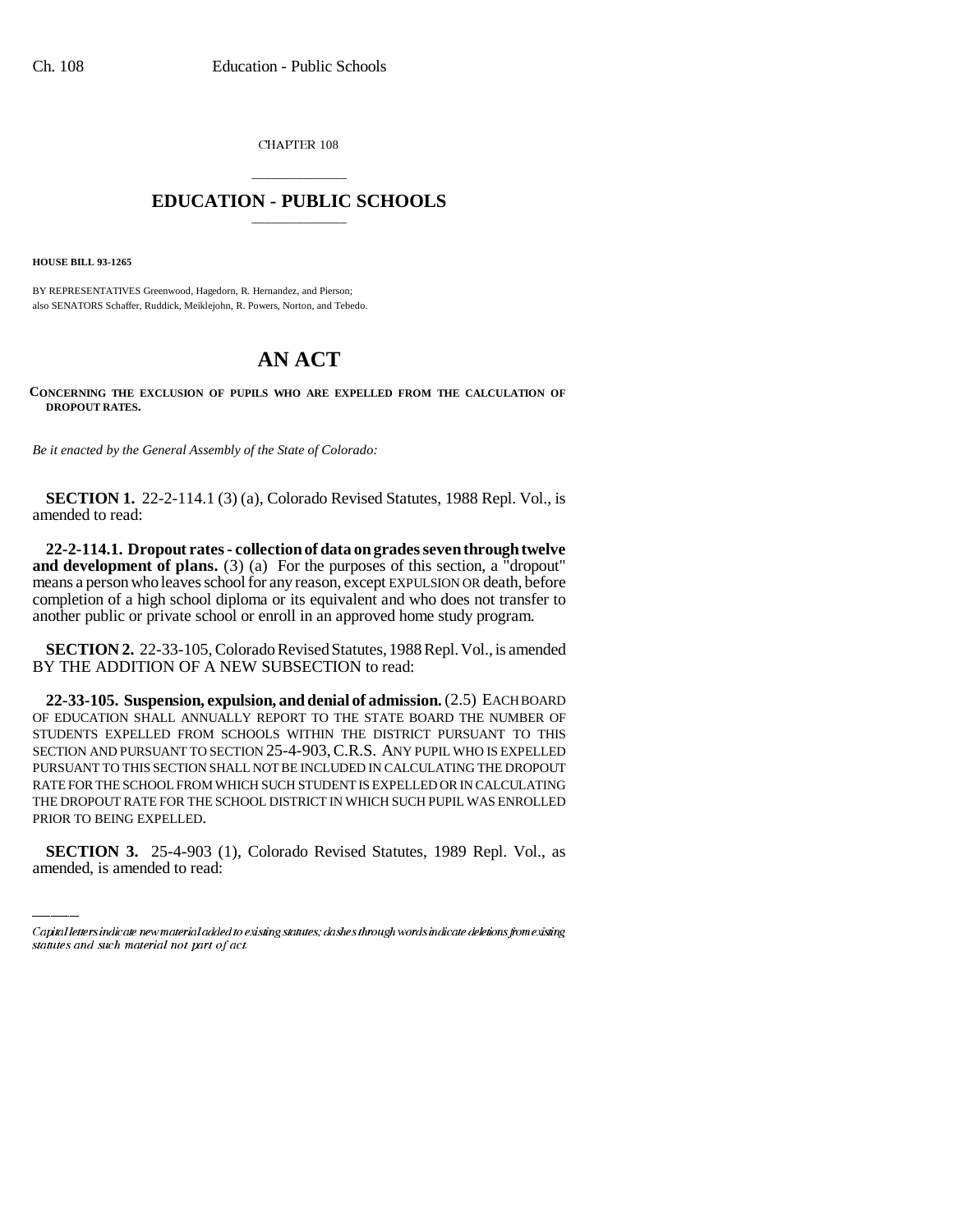CHAPTER 108

## \_\_\_\_\_\_\_\_\_\_\_\_\_\_\_ **EDUCATION - PUBLIC SCHOOLS** \_\_\_\_\_\_\_\_\_\_\_\_\_\_\_

**HOUSE BILL 93-1265**

BY REPRESENTATIVES Greenwood, Hagedorn, R. Hernandez, and Pierson; also SENATORS Schaffer, Ruddick, Meiklejohn, R. Powers, Norton, and Tebedo.

## **AN ACT**

**CONCERNING THE EXCLUSION OF PUPILS WHO ARE EXPELLED FROM THE CALCULATION OF DROPOUT RATES.**

*Be it enacted by the General Assembly of the State of Colorado:*

**SECTION 1.** 22-2-114.1 (3) (a), Colorado Revised Statutes, 1988 Repl. Vol., is amended to read:

**22-2-114.1. Dropout rates - collection of data on grades seven through twelve and development of plans.** (3) (a) For the purposes of this section, a "dropout" means a person who leaves school for any reason, except EXPULSION OR death, before completion of a high school diploma or its equivalent and who does not transfer to another public or private school or enroll in an approved home study program.

**SECTION 2.** 22-33-105, Colorado Revised Statutes, 1988 Repl. Vol., is amended BY THE ADDITION OF A NEW SUBSECTION to read:

THE DROPOUT RATE FOR THE SCHOOL DISTRICT IN WHICH SUCH PUPIL WAS ENROLLED **22-33-105. Suspension, expulsion, and denial of admission.** (2.5) EACH BOARD OF EDUCATION SHALL ANNUALLY REPORT TO THE STATE BOARD THE NUMBER OF STUDENTS EXPELLED FROM SCHOOLS WITHIN THE DISTRICT PURSUANT TO THIS SECTION AND PURSUANT TO SECTION 25-4-903,C.R.S. ANY PUPIL WHO IS EXPELLED PURSUANT TO THIS SECTION SHALL NOT BE INCLUDED IN CALCULATING THE DROPOUT RATE FOR THE SCHOOL FROM WHICH SUCH STUDENT IS EXPELLED OR IN CALCULATING PRIOR TO BEING EXPELLED.

**SECTION 3.** 25-4-903 (1), Colorado Revised Statutes, 1989 Repl. Vol., as amended, is amended to read:

Capital letters indicate new material added to existing statutes; dashes through words indicate deletions from existing statutes and such material not part of act.